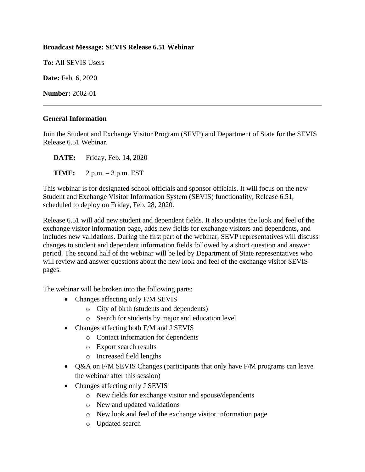## **Broadcast Message: SEVIS Release 6.51 Webinar**

**To:** All SEVIS Users

**Date:** Feb. 6, 2020

**Number:** 2002-01

## **General Information**

Join the Student and Exchange Visitor Program (SEVP) and Department of State for the SEVIS Release 6.51 Webinar.

**DATE:** Friday, Feb. 14, 2020

**TIME:** 2 p.m. – 3 p.m. EST

This webinar is for designated school officials and sponsor officials. It will focus on the new Student and Exchange Visitor Information System (SEVIS) functionality, Release 6.51, scheduled to deploy on Friday, Feb. 28, 2020.

Release 6.51 will add new student and dependent fields. It also updates the look and feel of the exchange visitor information page, adds new fields for exchange visitors and dependents, and includes new validations. During the first part of the webinar, SEVP representatives will discuss changes to student and dependent information fields followed by a short question and answer period. The second half of the webinar will be led by Department of State representatives who will review and answer questions about the new look and feel of the exchange visitor SEVIS pages.

The webinar will be broken into the following parts:

- Changes affecting only F/M SEVIS
	- o City of birth (students and dependents)
	- o Search for students by major and education level
- Changes affecting both F/M and J SEVIS
	- o Contact information for dependents
	- o Export search results
	- o Increased field lengths
- Q&A on F/M SEVIS Changes (participants that only have F/M programs can leave the webinar after this session)
- Changes affecting only J SEVIS
	- o New fields for exchange visitor and spouse/dependents
	- o New and updated validations
	- o New look and feel of the exchange visitor information page
	- o Updated search